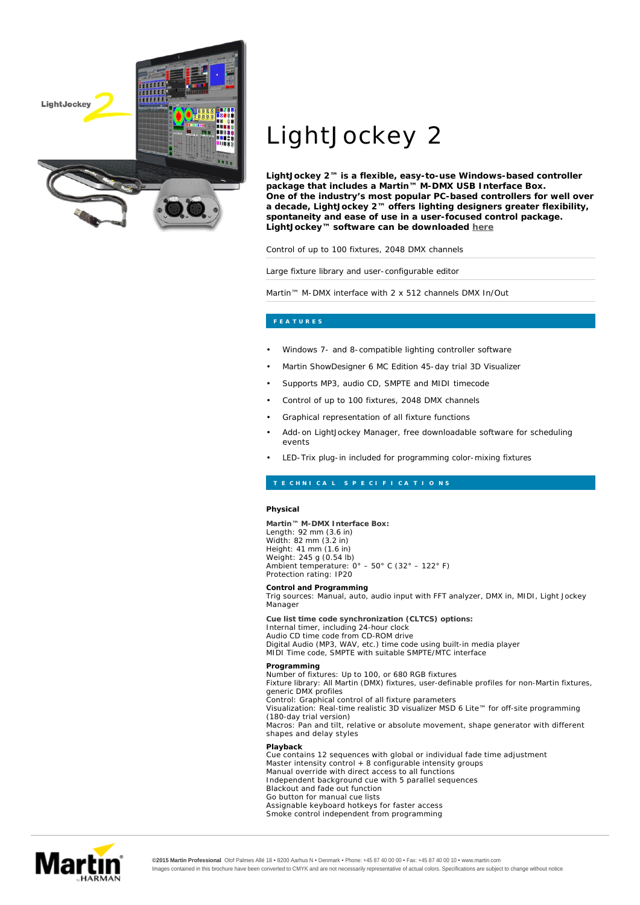

## LightJockey 2

**LightJockey 2™ is a flexible, easy-to-use Windows-based controller package that includes a Martin™ M-DMX USB Interface Box. One of the industry's most popular PC-based controllers for well over a decade, LightJockey 2™ offers lighting designers greater flexibility, spontaneity and ease of use in a user-focused control package. LightJockey™ software can be downloaded here**

Control of up to 100 fixtures, 2048 DMX channels

Large fixture library and user-configurable editor

Martin™ M-DMX interface with 2 x 512 channels DMX In/Out

- Windows 7- and 8-compatible lighting controller software
- Martin ShowDesigner 6 MC Edition 45-day trial 3D Visualizer
- Supports MP3, audio CD, SMPTE and MIDI timecode
- Control of up to 100 fixtures, 2048 DMX channels
- Graphical representation of all fixture functions
- Add-on LightJockey Manager, free downloadable software for scheduling events
- LED-Trix plug-in included for programming color-mixing fixtures

## **Physical**

**Martin™ M-DMX Interface Box:** Length: 92 mm (3.6 in) Width: 82 mm (3.2 in) Height: 41 mm (1.6 in) Weight: 245 g (0.54 lb) Ambient temperature: 0° – 50° C (32° – 122° F) Protection rating: IP20

**Control and Programming** Trig sources: Manual, auto, audio input with FFT analyzer, DMX in, MIDI, Light Jockey Manager

**Cue list time code synchronization (CLTCS) options:** Internal timer, including 24-hour clock Audio CD time code from CD-ROM drive Digital Audio (MP3, WAV, etc.) time code using built-in media player MIDI Time code, SMPTE with suitable SMPTE/MTC interface

**Programming Playback** Number of fixtures: Up to 100, or 680 RGB fixtures Fixture library: All Martin (DMX) fixtures, user-definable profiles for non-Martin fixtures, generic DMX profiles Control: Graphical control of all fixture parameters Visualization: Real-time realistic 3D visualizer MSD 6 Lite™ for off-site programming (180-day trial version) Macros: Pan and tilt, relative or absolute movement, shape generator with different shapes and delay styles Cue contains 12 sequences with global or individual fade time adjustment Master intensity control + 8 configurable intensity groups

Manual override with direct access to all functions Independent background cue with 5 parallel sequences Blackout and fade out function Go button for manual cue lists Assignable keyboard hotkeys for faster access Smoke control independent from programming



**©2015 Martin Professional** Olof Palmes Allé 18 • 8200 Aarhus N • Denmark • Phone: +45 87 40 00 00 • Fax: +45 87 40 00 10 • www.martin.com Images contained in this brochure have been converted to CMYK and are not necessarily representative of actual colors. Specifications are subject to change without notice